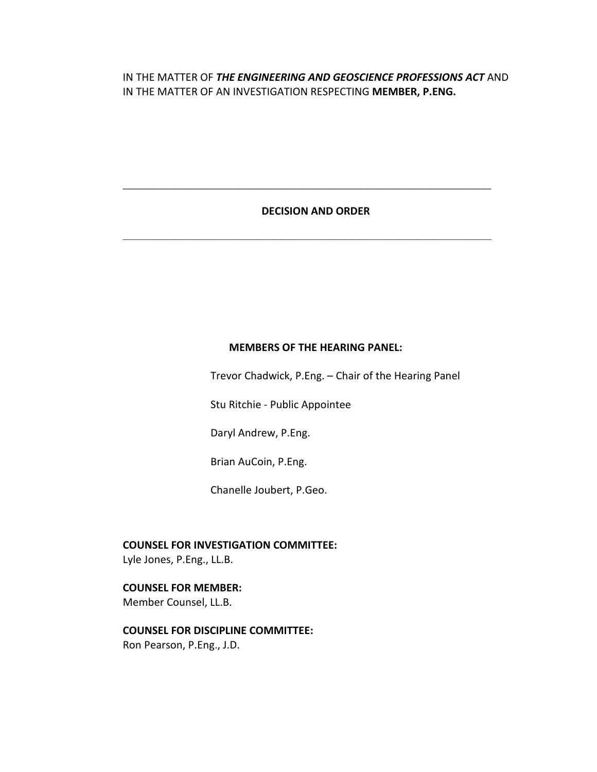# IN THE MATTER OF *THE ENGINEERING AND GEOSCIENCE PROFESSIONS ACT* AND IN THE MATTER OF AN INVESTIGATION RESPECTING **MEMBER, P.ENG.**

## **DECISION AND ORDER**

**\_\_\_\_\_\_\_\_\_\_\_\_\_\_\_\_\_\_\_\_\_\_\_\_\_\_\_\_\_\_\_\_\_\_\_\_\_\_\_\_\_\_\_\_\_\_\_\_\_\_\_\_\_\_\_\_\_\_\_\_\_\_\_**

**\_\_\_\_\_\_\_\_\_\_\_\_\_\_\_\_\_\_\_\_\_\_\_\_\_\_\_\_\_\_\_\_\_\_\_\_\_\_\_\_\_\_\_\_\_\_\_\_\_\_\_\_\_\_\_\_\_\_\_\_\_\_\_\_\_\_\_\_\_\_\_\_\_\_\_\_\_\_\_\_\_\_\_\_**

#### **MEMBERS OF THE HEARING PANEL:**

Trevor Chadwick, P.Eng. – Chair of the Hearing Panel

Stu Ritchie - Public Appointee

Daryl Andrew, P.Eng.

Brian AuCoin, P.Eng.

Chanelle Joubert, P.Geo.

**COUNSEL FOR INVESTIGATION COMMITTEE:**

Lyle Jones, P.Eng., LL.B.

### **COUNSEL FOR MEMBER:**

Member Counsel, LL.B.

# **COUNSEL FOR DISCIPLINE COMMITTEE:**

Ron Pearson, P.Eng., J.D.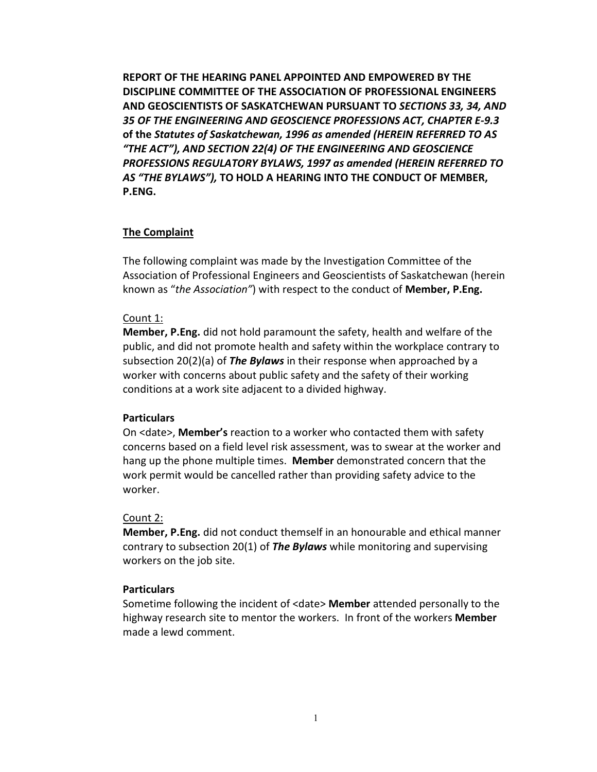**REPORT OF THE HEARING PANEL APPOINTED AND EMPOWERED BY THE DISCIPLINE COMMITTEE OF THE ASSOCIATION OF PROFESSIONAL ENGINEERS AND GEOSCIENTISTS OF SASKATCHEWAN PURSUANT TO** *SECTIONS 33, 34, AND 35 OF THE ENGINEERING AND GEOSCIENCE PROFESSIONS ACT, CHAPTER E-9.3*  **of the** *Statutes of Saskatchewan, 1996 as amended (HEREIN REFERRED TO AS "THE ACT"), AND SECTION 22(4) OF THE ENGINEERING AND GEOSCIENCE PROFESSIONS REGULATORY BYLAWS, 1997 as amended (HEREIN REFERRED TO AS "THE BYLAWS"),* **TO HOLD A HEARING INTO THE CONDUCT OF MEMBER, P.ENG.**

## **The Complaint**

The following complaint was made by the Investigation Committee of the Association of Professional Engineers and Geoscientists of Saskatchewan (herein known as "*the Association"*) with respect to the conduct of **Member, P.Eng.**

#### Count 1:

**Member, P.Eng.** did not hold paramount the safety, health and welfare of the public, and did not promote health and safety within the workplace contrary to subsection 20(2)(a) of *The Bylaws* in their response when approached by a worker with concerns about public safety and the safety of their working conditions at a work site adjacent to a divided highway.

## **Particulars**

On <date>, **Member's** reaction to a worker who contacted them with safety concerns based on a field level risk assessment, was to swear at the worker and hang up the phone multiple times. **Member** demonstrated concern that the work permit would be cancelled rather than providing safety advice to the worker.

#### Count 2:

**Member, P.Eng.** did not conduct themself in an honourable and ethical manner contrary to subsection 20(1) of *The Bylaws* while monitoring and supervising workers on the job site.

### **Particulars**

Sometime following the incident of <date> **Member** attended personally to the highway research site to mentor the workers. In front of the workers **Member** made a lewd comment.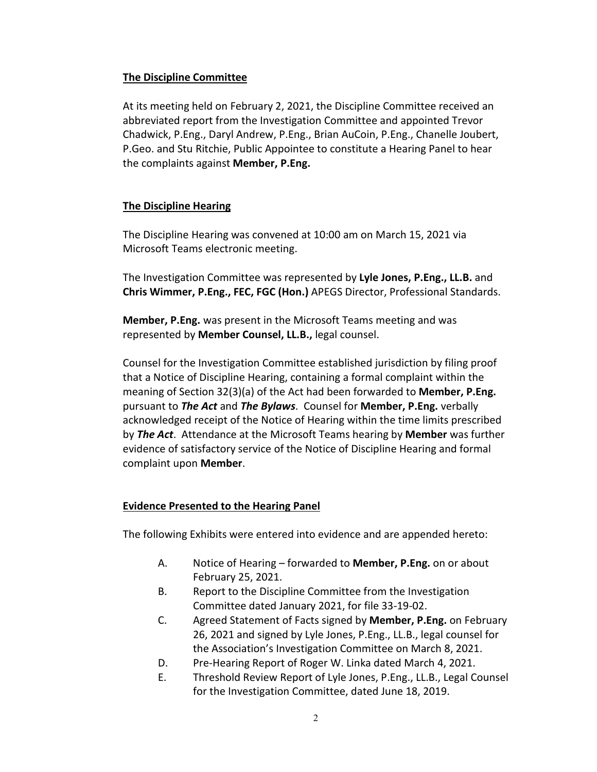## **The Discipline Committee**

At its meeting held on February 2, 2021, the Discipline Committee received an abbreviated report from the Investigation Committee and appointed Trevor Chadwick, P.Eng., Daryl Andrew, P.Eng., Brian AuCoin, P.Eng., Chanelle Joubert, P.Geo. and Stu Ritchie, Public Appointee to constitute a Hearing Panel to hear the complaints against **Member, P.Eng.** 

# **The Discipline Hearing**

The Discipline Hearing was convened at 10:00 am on March 15, 2021 via Microsoft Teams electronic meeting.

The Investigation Committee was represented by **Lyle Jones, P.Eng., LL.B.** and **Chris Wimmer, P.Eng., FEC, FGC (Hon.)** APEGS Director, Professional Standards.

**Member, P.Eng.** was present in the Microsoft Teams meeting and was represented by **Member Counsel, LL.B.,** legal counsel.

Counsel for the Investigation Committee established jurisdiction by filing proof that a Notice of Discipline Hearing, containing a formal complaint within the meaning of Section 32(3)(a) of the Act had been forwarded to **Member, P.Eng.** pursuant to *The Act* and *The Bylaws*. Counsel for **Member, P.Eng.** verbally acknowledged receipt of the Notice of Hearing within the time limits prescribed by *The Act*. Attendance at the Microsoft Teams hearing by **Member** was further evidence of satisfactory service of the Notice of Discipline Hearing and formal complaint upon **Member**.

# **Evidence Presented to the Hearing Panel**

The following Exhibits were entered into evidence and are appended hereto:

- A. Notice of Hearing forwarded to **Member, P.Eng.** on or about February 25, 2021.
- B. Report to the Discipline Committee from the Investigation Committee dated January 2021, for file 33-19-02.
- C. Agreed Statement of Facts signed by **Member, P.Eng.** on February 26, 2021 and signed by Lyle Jones, P.Eng., LL.B., legal counsel for the Association's Investigation Committee on March 8, 2021.
- D. Pre-Hearing Report of Roger W. Linka dated March 4, 2021.
- E. Threshold Review Report of Lyle Jones, P.Eng., LL.B., Legal Counsel for the Investigation Committee, dated June 18, 2019.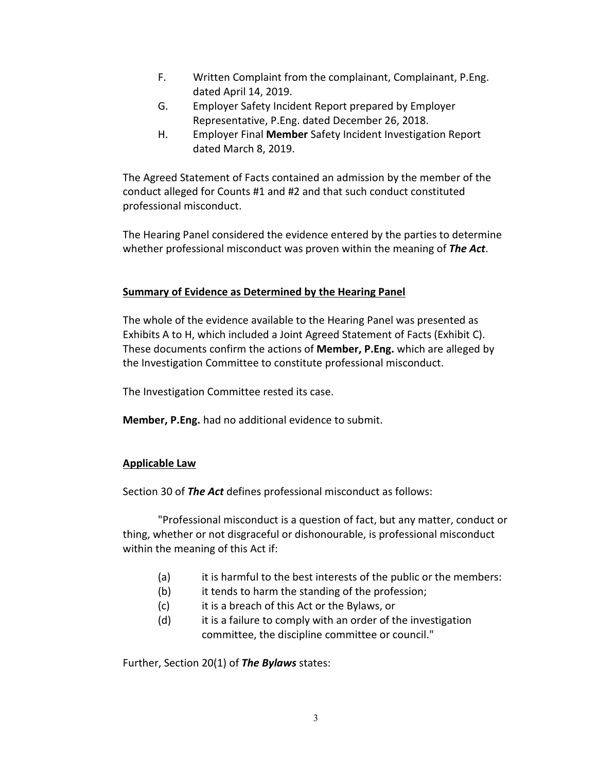- F. Written Complaint from the complainant, Complainant, P.Eng. dated April 14, 2019.
- G. Employer Safety Incident Report prepared by Employer Representative, P.Eng. dated December 26, 2018.
- H. Employer Final **Member** Safety Incident Investigation Report dated March 8, 2019.

The Agreed Statement of Facts contained an admission by the member of the conduct alleged for Counts #1 and #2 and that such conduct constituted professional misconduct.

The Hearing Panel considered the evidence entered by the parties to determine whether professional misconduct was proven within the meaning of *The Act*.

## **Summary of Evidence as Determined by the Hearing Panel**

The whole of the evidence available to the Hearing Panel was presented as Exhibits A to H, which included a Joint Agreed Statement of Facts (Exhibit C). These documents confirm the actions of **Member, P.Eng.** which are alleged by the Investigation Committee to constitute professional misconduct.

The Investigation Committee rested its case.

**Member, P.Eng.** had no additional evidence to submit.

# **Applicable Law**

Section 30 of *The Act* defines professional misconduct as follows:

"Professional misconduct is a question of fact, but any matter, conduct or thing, whether or not disgraceful or dishonourable, is professional misconduct within the meaning of this Act if:

- (a) it is harmful to the best interests of the public or the members:
- (b) it tends to harm the standing of the profession;
- (c) it is a breach of this Act or the Bylaws, or
- (d) it is a failure to comply with an order of the investigation committee, the discipline committee or council."

Further, Section 20(1) of *The Bylaws* states: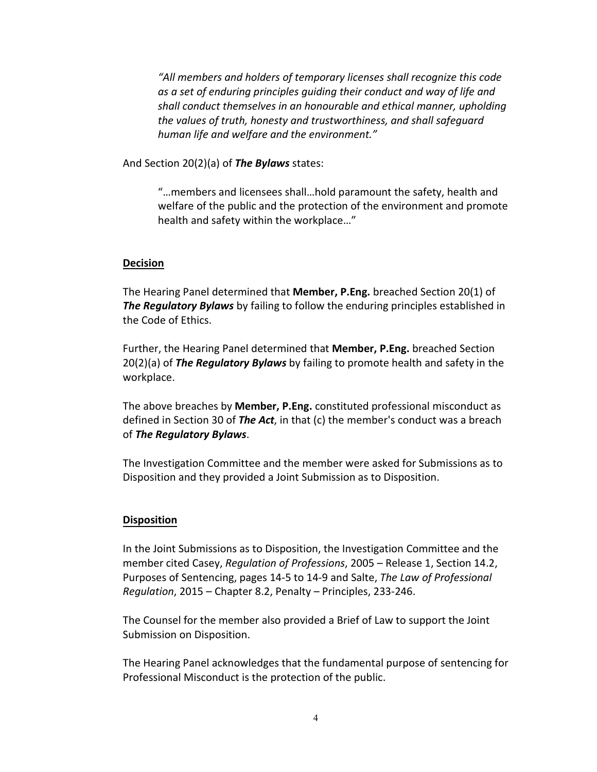*"All members and holders of temporary licenses shall recognize this code as a set of enduring principles guiding their conduct and way of life and shall conduct themselves in an honourable and ethical manner, upholding the values of truth, honesty and trustworthiness, and shall safeguard human life and welfare and the environment."* 

And Section 20(2)(a) of *The Bylaws* states:

"…members and licensees shall…hold paramount the safety, health and welfare of the public and the protection of the environment and promote health and safety within the workplace…"

#### **Decision**

The Hearing Panel determined that **Member, P.Eng.** breached Section 20(1) of *The Regulatory Bylaws* by failing to follow the enduring principles established in the Code of Ethics.

Further, the Hearing Panel determined that **Member, P.Eng.** breached Section 20(2)(a) of *The Regulatory Bylaws* by failing to promote health and safety in the workplace.

The above breaches by **Member, P.Eng.** constituted professional misconduct as defined in Section 30 of *The Act*, in that (c) the member's conduct was a breach of *The Regulatory Bylaws*.

The Investigation Committee and the member were asked for Submissions as to Disposition and they provided a Joint Submission as to Disposition.

#### **Disposition**

In the Joint Submissions as to Disposition, the Investigation Committee and the member cited Casey, *Regulation of Professions*, 2005 – Release 1, Section 14.2, Purposes of Sentencing, pages 14-5 to 14-9 and Salte, *The Law of Professional Regulation*, 2015 – Chapter 8.2, Penalty – Principles, 233-246.

The Counsel for the member also provided a Brief of Law to support the Joint Submission on Disposition.

The Hearing Panel acknowledges that the fundamental purpose of sentencing for Professional Misconduct is the protection of the public.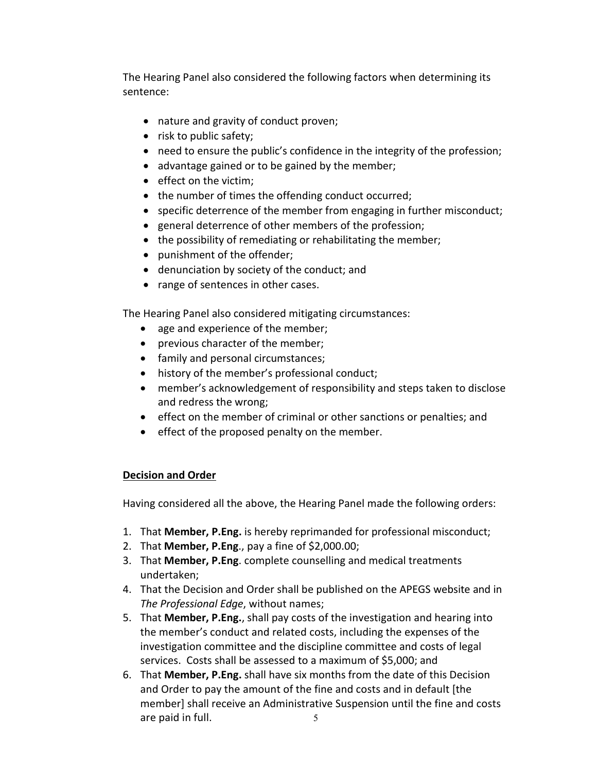The Hearing Panel also considered the following factors when determining its sentence:

- nature and gravity of conduct proven;
- risk to public safety;
- need to ensure the public's confidence in the integrity of the profession;
- advantage gained or to be gained by the member;
- effect on the victim;
- the number of times the offending conduct occurred;
- specific deterrence of the member from engaging in further misconduct;
- general deterrence of other members of the profession;
- the possibility of remediating or rehabilitating the member;
- punishment of the offender;
- denunciation by society of the conduct; and
- range of sentences in other cases.

The Hearing Panel also considered mitigating circumstances:

- age and experience of the member;
- previous character of the member;
- family and personal circumstances;
- history of the member's professional conduct;
- member's acknowledgement of responsibility and steps taken to disclose and redress the wrong;
- effect on the member of criminal or other sanctions or penalties; and
- effect of the proposed penalty on the member.

# **Decision and Order**

Having considered all the above, the Hearing Panel made the following orders:

- 1. That **Member, P.Eng.** is hereby reprimanded for professional misconduct;
- 2. That **Member, P.Eng**., pay a fine of \$2,000.00;
- 3. That **Member, P.Eng**. complete counselling and medical treatments undertaken;
- 4. That the Decision and Order shall be published on the APEGS website and in *The Professional Edge*, without names;
- 5. That **Member, P.Eng.**, shall pay costs of the investigation and hearing into the member's conduct and related costs, including the expenses of the investigation committee and the discipline committee and costs of legal services. Costs shall be assessed to a maximum of \$5,000; and
- 5 6. That **Member, P.Eng.** shall have six months from the date of this Decision and Order to pay the amount of the fine and costs and in default [the member] shall receive an Administrative Suspension until the fine and costs are paid in full.